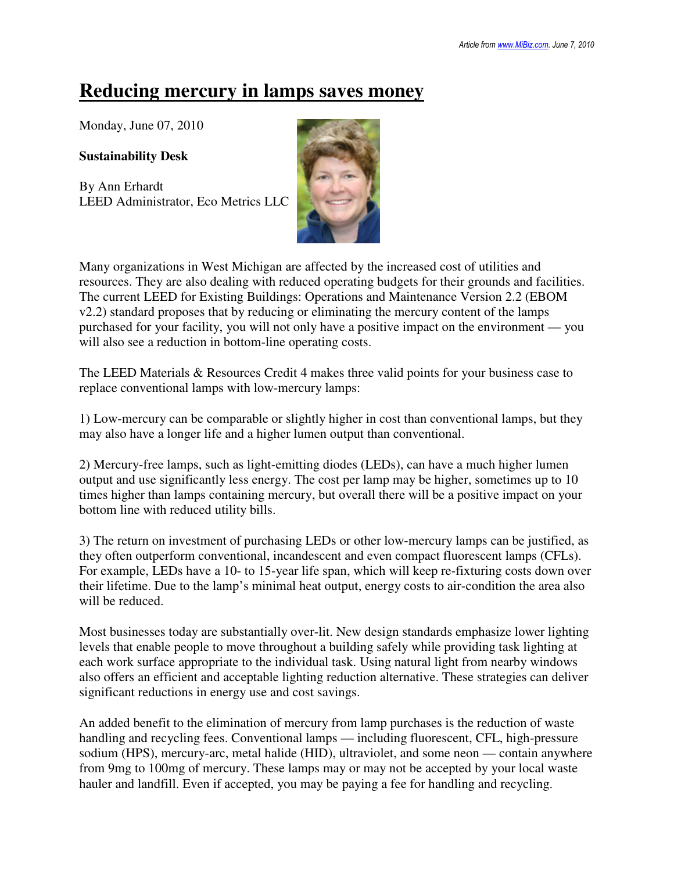## **Reducing mercury in lamps saves money**

Monday, June 07, 2010

**Sustainability Desk**

By Ann Erhardt LEED Administrator, Eco Metrics LLC



Many organizations in West Michigan are affected by the increased cost of utilities and resources. They are also dealing with reduced operating budgets for their grounds and facilities. The current LEED for Existing Buildings: Operations and Maintenance Version 2.2 (EBOM v2.2) standard proposes that by reducing or eliminating the mercury content of the lamps purchased for your facility, you will not only have a positive impact on the environment — you will also see a reduction in bottom-line operating costs.

The LEED Materials & Resources Credit 4 makes three valid points for your business case to replace conventional lamps with low-mercury lamps:

1) Low-mercury can be comparable or slightly higher in cost than conventional lamps, but they may also have a longer life and a higher lumen output than conventional.

2) Mercury-free lamps, such as light-emitting diodes (LEDs), can have a much higher lumen output and use significantly less energy. The cost per lamp may be higher, sometimes up to 10 times higher than lamps containing mercury, but overall there will be a positive impact on your bottom line with reduced utility bills.

3) The return on investment of purchasing LEDs or other low-mercury lamps can be justified, as they often outperform conventional, incandescent and even compact fluorescent lamps (CFLs). For example, LEDs have a 10- to 15-year life span, which will keep re-fixturing costs down over their lifetime. Due to the lamp's minimal heat output, energy costs to air-condition the area also will be reduced.

Most businesses today are substantially over-lit. New design standards emphasize lower lighting levels that enable people to move throughout a building safely while providing task lighting at each work surface appropriate to the individual task. Using natural light from nearby windows also offers an efficient and acceptable lighting reduction alternative. These strategies can deliver significant reductions in energy use and cost savings.

An added benefit to the elimination of mercury from lamp purchases is the reduction of waste handling and recycling fees. Conventional lamps — including fluorescent, CFL, high-pressure sodium (HPS), mercury-arc, metal halide (HID), ultraviolet, and some neon — contain anywhere from 9mg to 100mg of mercury. These lamps may or may not be accepted by your local waste hauler and landfill. Even if accepted, you may be paying a fee for handling and recycling.